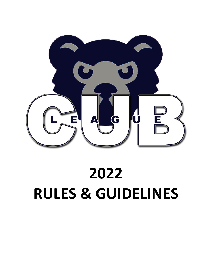

# **2022 RULES & GUIDELINES**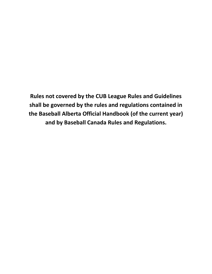**Rules not covered by the CUB League Rules and Guidelines shall be governed by the rules and regulations contained in the Baseball Alberta Official Handbook (of the current year) and by Baseball Canada Rules and Regulations.**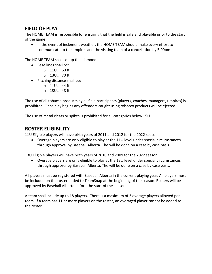## **FIELD OF PLAY**

The HOME TEAM is responsible for ensuring that the field is safe and playable prior to the start of the game

• In the event of inclement weather, the HOME TEAM should make every effort to communicate to the umpires and the visiting team of a cancellation by 5:00pm

The HOME TEAM shall set up the diamond

- Base lines shall be:
	- o 11U…..60 ft.
	- o 13U…..70 ft.
- Pitching distance shall be:
	- o 11U…..44 ft.
	- o 13U…..48 ft.

The use of all tobacco products by all field participants (players, coaches, managers, umpires) is prohibited. Once play begins any offenders caught using tobacco products will be ejected.

The use of metal cleats or spikes is prohibited for all categories below 15U.

#### **ROSTER ELIGIBILITY**

11U Eligible players will have birth years of 2011 and 2012 for the 2022 season.

 Overage players are only eligible to play at the 11U level under special circumstances through approval by Baseball Alberta. The will be done on a case by case basis.

13U Eligible players will have birth years of 2010 and 2009 for the 2022 season.

 Overage players are only eligible to play at the 13U level under special circumstances through approval by Baseball Alberta. The will be done on a case by case basis.

All players must be registered with Baseball Alberta in the current playing year. All players must be included on the roster added to TeamSnap at the beginning of the season. Rosters will be approved by Baseball Alberta before the start of the season.

A team shall include up to 18 players. There is a maximum of 3 overage players allowed per team. If a team has 11 or more players on the roster, an overaged player cannot be added to the roster.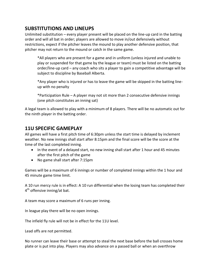## **SUBSTITUTIONS AND LINEUPS**

Unlimited substitution – every player present will be placed on the line-up card in the batting order and will all bat in order; players are allowed to move in/out defensively without restrictions, expect if the pitcher leaves the mound to play another defensive position, that pitcher may not return to the mound or catch in the same game.

\*All players who are present for a game and in uniform (unless injured and unable to play or suspended for that game by the league or team) must be listed on the batting order/line-up card – any coach who sits a player to gain a competitive advantage will be subject to discipline by Baseball Alberta.

\*Any player who is injured or has to leave the game will be skipped in the batting lineup with no penalty

\*Participation Rule – A player may not sit more than 2 consecutive defensive innings (one pitch constitutes an inning sat)

A legal team is allowed to play with a minimum of 8 players. There will be no automatic out for the ninth player in the batting order.

## **11U SPECIFIC GAMEPLAY**

All games will have a first pitch time of 6:30pm unless the start time is delayed by inclement weather. No new innings shall start after 8:15pm and the final score will be the score at the time of the last completed inning.

- In the event of a delayed start, no new inning shall start after 1 hour and 45 minutes after the first pitch of the game
- No game shall start after 7:15pm

Games will be a maximum of 6 innings or number of completed innings within the 1 hour and 45 minute game time limit.

A 10 run mercy rule is in effect: A 10 run differential when the losing team has completed their 4<sup>th</sup> offensive inning/at bat.

A team may score a maximum of 6 runs per inning.

In league play there will be no open innings.

The infield fly rule will not be in effect for the 11U level.

Lead offs are not permitted.

No runner can leave their base or attempt to steal the next base before the ball crosses home plate or is put into play. Players may also advance on a passed ball or when an overthrow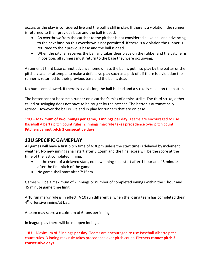occurs as the play is considered live and the ball is still in play. If there is a violation, the runner is returned to their previous base and the ball is dead.

- An overthrow from the catcher to the pitcher is not considered a live ball and advancing to the next base on this overthrow is not permitted. If there is a violation the runner is returned to their previous base and the ball is dead.
- When the pitcher receives the ball and takes their place on the rubber and the catcher is in position, all runners must return to the base they were occupying.

A runner at third base cannot advance home unless the ball is put into play by the batter or the pitcher/catcher attempts to make a defensive play such as a pick off. If there is a violation the runner is returned to their previous base and the ball is dead.

No bunts are allowed. If there is a violation, the ball is dead and a strike is called on the batter.

The batter cannot become a runner on a catcher's miss of a third strike. The third strike, either called or swinging does not have to be caught by the catcher. The batter is automatically retired. However the ball is live and in play for runners that are on base.

**11U** – **Maximum of two innings per game, 3 innings per day**. Teams are encouraged to use Baseball Alberta pitch count rules. 2 innings max rule takes precedence over pitch count. **Pitchers cannot pitch 3 consecutive days.**

## **13U SPECIFIC GAMEPLAY**

All games will have a first pitch time of 6:30pm unless the start time is delayed by inclement weather. No new innings shall start after 8:15pm and the final score will be the score at the time of the last completed inning.

- In the event of a delayed start, no new inning shall start after 1 hour and 45 minutes after the first pitch of the game
- No game shall start after 7:15pm

Games will be a maximum of 7 innings or number of completed innings within the 1 hour and 45 minute game time limit.

A 10 run mercy rule is in effect: A 10 run differential when the losing team has completed their 4<sup>th</sup> offensive inning/at bat.

A team may score a maximum of 6 runs per inning.

In league play there will be no open innings.

**13U** – Maximum of 3 innings **per day**. Teams are encouraged to use Baseball Alberta pitch count rules. 3 inning max rule takes precedence over pitch count. **Pitchers cannot pitch 3 consecutive days**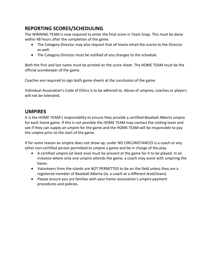## **REPORTING SCORES/SCHEDULING**

The WINNING TEAM is now required to enter the final score in Team Snap. This must be done within 48 hours after the completion of the game.

- The Category Director may also request that all teams email the scores to the Director as well.
- The Category Director must be notified of any changes to the schedule.

Both the first and last name must be printed on the score sheet. The HOME TEAM must be the official scorekeeper of the game.

Coaches are required to sign both game sheets at the conclusion of the game.

Individual Association's Code of Ethics is to be adhered to. Abuse of umpires, coaches or players will not be tolerated.

#### **UMPIRES**

It is the HOME TEAM's responsibility to ensure they provide a certified Baseball Alberta umpire for each home game. If this is not possible the HOME TEAM may contact the visiting team and see if they can supply an umpire for the game and the HOME TEAM will be responsible to pay the umpire prior to the start of the game.

If for some reason an umpire does not show up, under NO CIRCUMSTANCES is a coach or any other non-certified person permitted to umpire a game and be in charge of the play.

- A certified umpire (at least one) must be present at the game for it to be played. In an instance where only one umpire attends the game, a coach may assist with umpiring the bases.
- Volunteers from the stands are NOT PERMITTED to be on the field unless they are a registered member of Baseball Alberta (ie, a coach at a different level/team).
- Please ensure you are familiar with your home association's umpire payment procedures and policies.